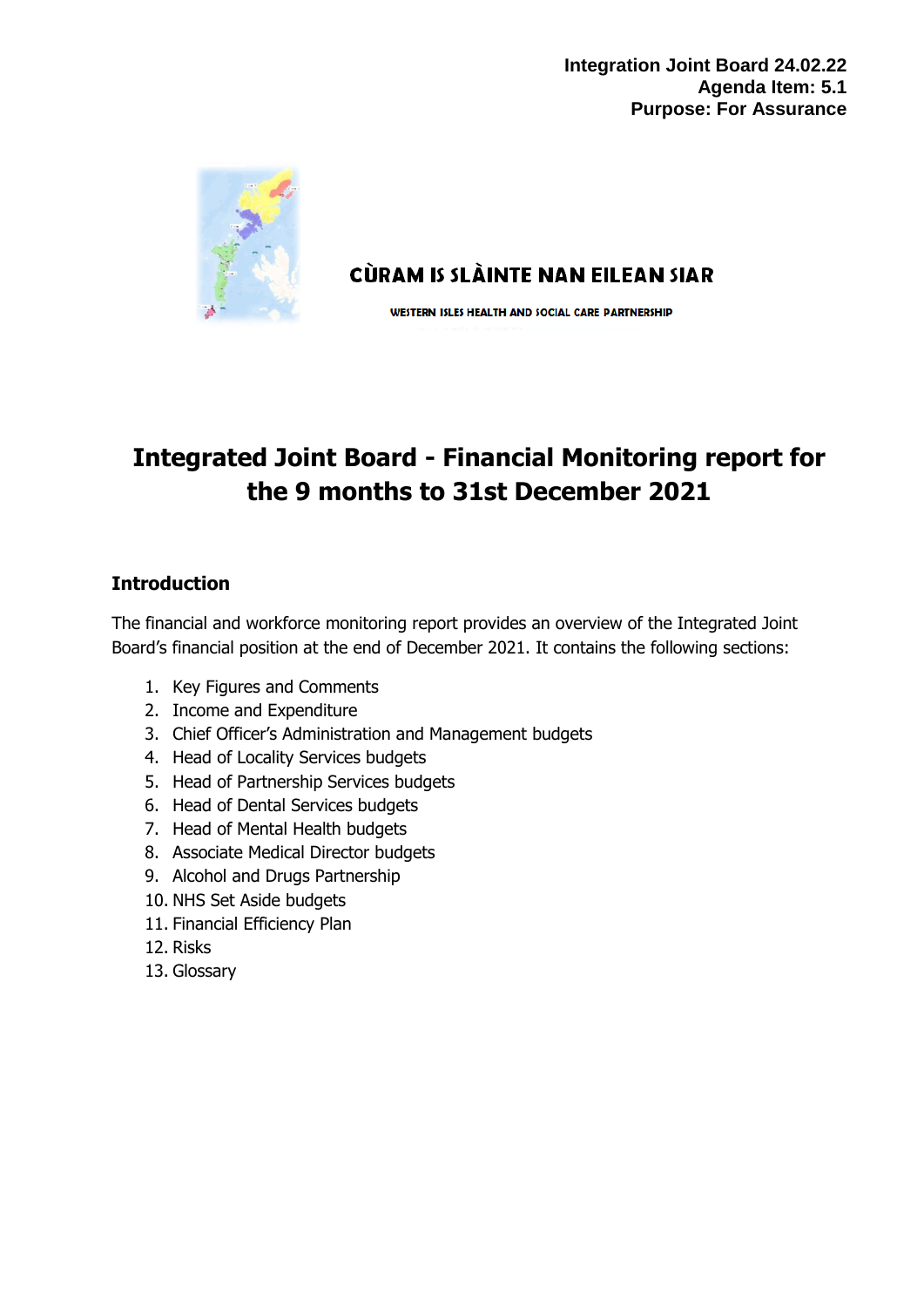

CÙRAM IS SLÀINTE NAN EILEAN SIAR

WESTERN ISLES HEALTH AND SOCIAL CARE PARTNERSHIP

# **Integrated Joint Board - Financial Monitoring report for the 9 months to 31st December 2021**

# **Introduction**

The financial and workforce monitoring report provides an overview of the Integrated Joint Board's financial position at the end of December 2021. It contains the following sections:

- 1. Key Figures and Comments
- 2. Income and Expenditure
- 3. Chief Officer's Administration and Management budgets
- 4. Head of Locality Services budgets
- 5. Head of Partnership Services budgets
- 6. Head of Dental Services budgets
- 7. Head of Mental Health budgets
- 8. Associate Medical Director budgets
- 9. Alcohol and Drugs Partnership
- 10. NHS Set Aside budgets
- 11. Financial Efficiency Plan
- 12. Risks
- 13. Glossary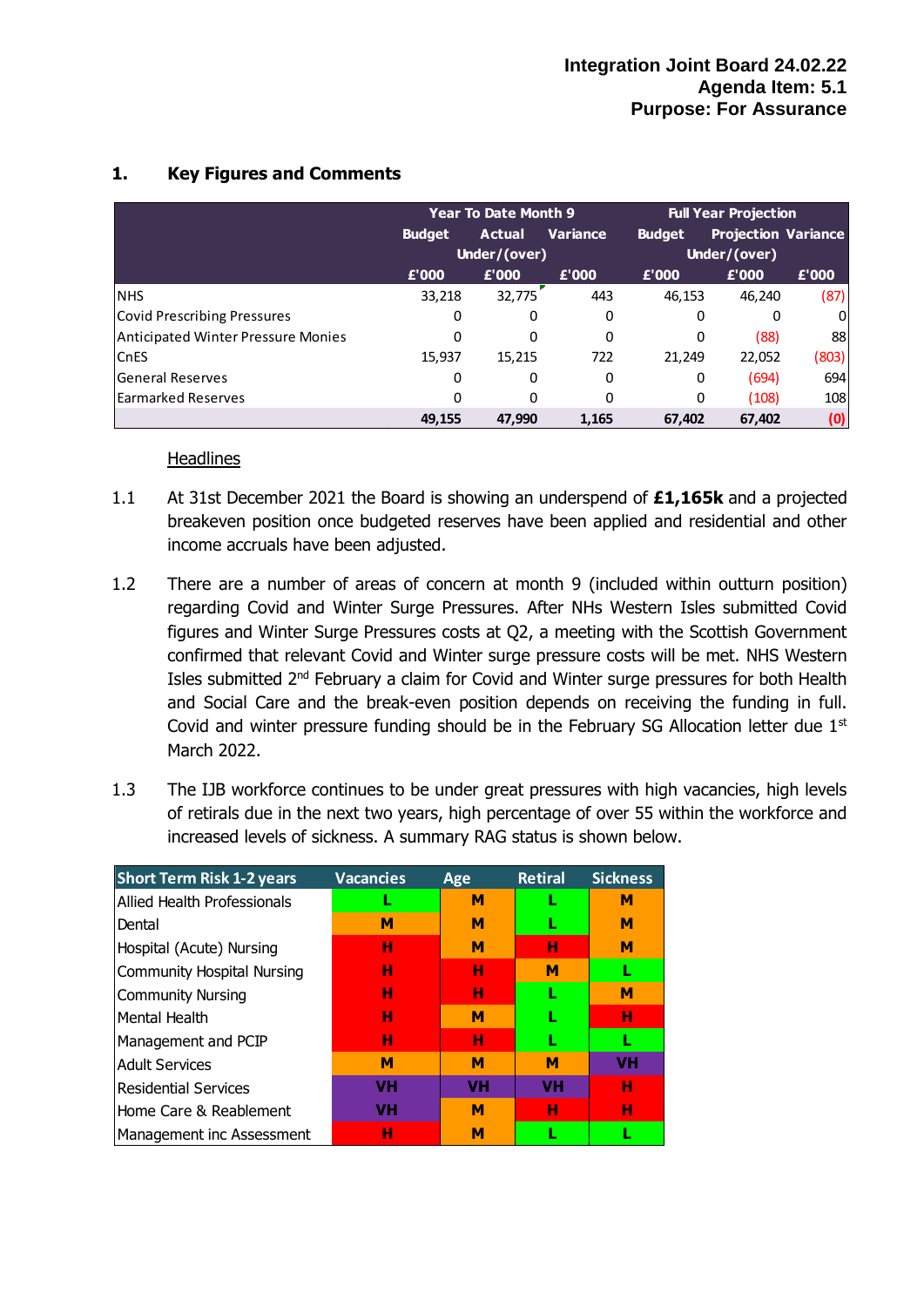|                                    |               | <b>Year To Date Month 9</b> |                 |               | <b>Full Year Projection</b> |       |  |  |
|------------------------------------|---------------|-----------------------------|-----------------|---------------|-----------------------------|-------|--|--|
|                                    | <b>Budget</b> | <b>Actual</b>               | <b>Variance</b> | <b>Budget</b> | <b>Projection Variance</b>  |       |  |  |
|                                    |               | Under/(over)                |                 |               | Under/(over)                |       |  |  |
|                                    | £'000         | £'000                       | £'000           | £'000         | £'000                       | £'000 |  |  |
| <b>NHS</b>                         | 33,218        | 32,775                      | 443             | 46,153        | 46,240                      | (87)  |  |  |
| Covid Prescribing Pressures        | 0             | 0                           | 0               | 0             | 0                           | 0     |  |  |
| Anticipated Winter Pressure Monies | 0             | 0                           | 0               | 0             | (88)                        | 88    |  |  |
| <b>CnES</b>                        | 15.937        | 15.215                      | 722             | 21.249        | 22,052                      | (803) |  |  |
| <b>General Reserves</b>            | 0             | 0                           | 0               | 0             | (694)                       | 694   |  |  |
| Earmarked Reserves                 | 0             | 0                           | 0               | 0             | (108)                       | 108   |  |  |
|                                    | 49.155        | 47.990                      | 1,165           | 67,402        | 67,402                      | (0)   |  |  |

# **1. Key Figures and Comments**

#### **Headlines**

- 1.1 At 31st December 2021 the Board is showing an underspend of **£1,165k** and a projected breakeven position once budgeted reserves have been applied and residential and other income accruals have been adjusted.
- 1.2 There are a number of areas of concern at month 9 (included within outturn position) regarding Covid and Winter Surge Pressures. After NHs Western Isles submitted Covid figures and Winter Surge Pressures costs at Q2, a meeting with the Scottish Government confirmed that relevant Covid and Winter surge pressure costs will be met. NHS Western Isles submitted 2<sup>nd</sup> February a claim for Covid and Winter surge pressures for both Health and Social Care and the break-even position depends on receiving the funding in full. Covid and winter pressure funding should be in the February SG Allocation letter due  $1<sup>st</sup>$ March 2022.
- 1.3 The IJB workforce continues to be under great pressures with high vacancies, high levels of retirals due in the next two years, high percentage of over 55 within the workforce and increased levels of sickness. A summary RAG status is shown below.

| <b>Short Term Risk 1-2 years</b>  | <b>Vacancies</b> | Age       | <b>Retiral</b> | <b>Sickness</b> |
|-----------------------------------|------------------|-----------|----------------|-----------------|
| Allied Health Professionals       |                  | м         |                | М               |
| Dental                            | м                | м         |                | м               |
| Hospital (Acute) Nursing          | н                | м         | н              | м               |
| <b>Community Hospital Nursing</b> | н                | н         | м              |                 |
| <b>Community Nursing</b>          | н                | н         | L              | M               |
| Mental Health                     | н                | м         |                | н               |
| Management and PCIP               | н                | н         | L              | L               |
| <b>Adult Services</b>             | M                | M         | M              | <b>VH</b>       |
| <b>Residential Services</b>       | VH               | <b>VH</b> | <b>VH</b>      | н               |
| Home Care & Reablement            | VH               | М         | н              | н               |
| Management inc Assessment         | н                | М         |                |                 |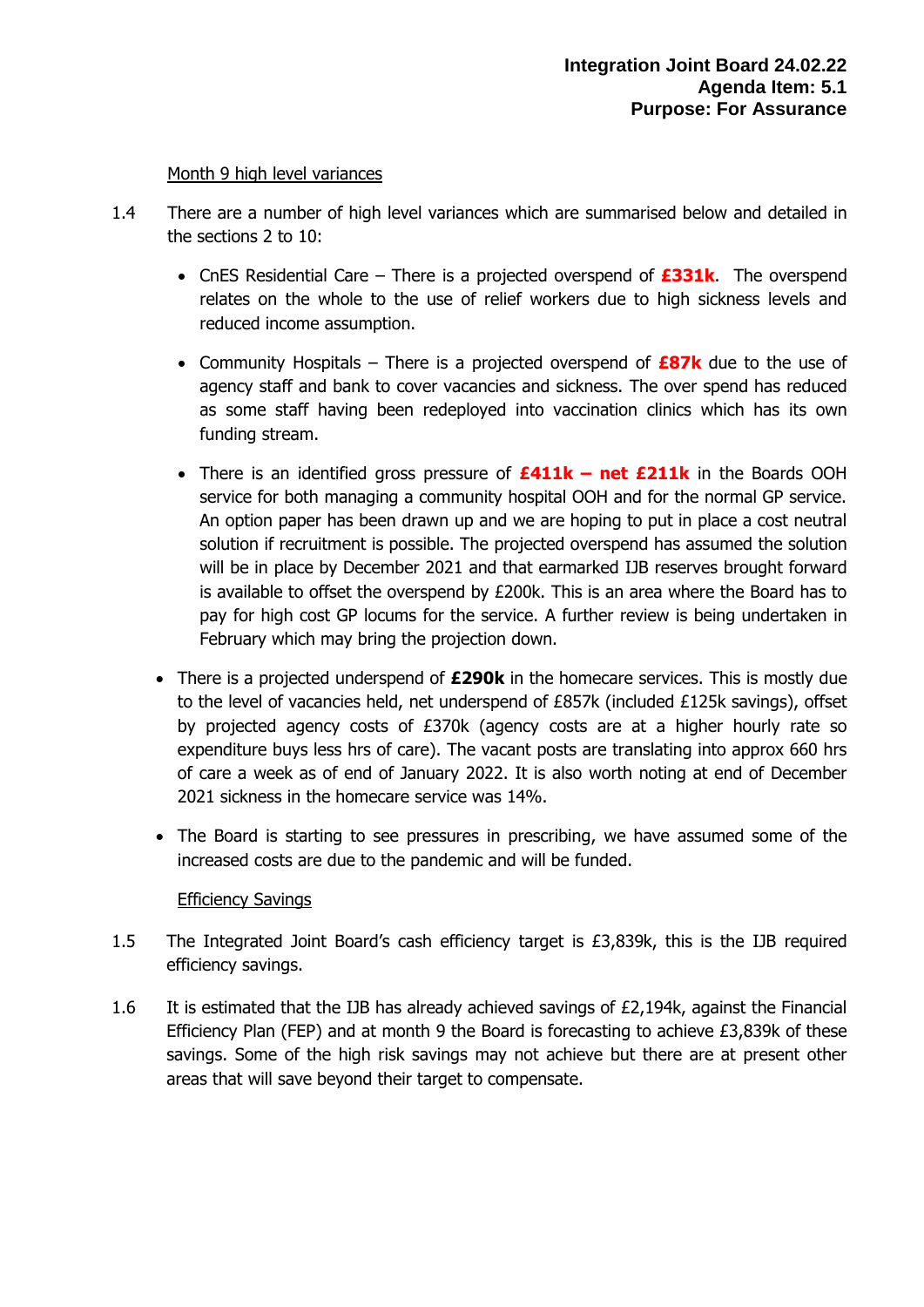#### Month 9 high level variances

- 1.4 There are a number of high level variances which are summarised below and detailed in the sections 2 to 10:
	- CnES Residential Care There is a projected overspend of **£331k**. The overspend relates on the whole to the use of relief workers due to high sickness levels and reduced income assumption.
	- Community Hospitals There is a projected overspend of **£87k** due to the use of agency staff and bank to cover vacancies and sickness. The over spend has reduced as some staff having been redeployed into vaccination clinics which has its own funding stream.
	- There is an identified gross pressure of **£411k – net £211k** in the Boards OOH service for both managing a community hospital OOH and for the normal GP service. An option paper has been drawn up and we are hoping to put in place a cost neutral solution if recruitment is possible. The projected overspend has assumed the solution will be in place by December 2021 and that earmarked IJB reserves brought forward is available to offset the overspend by  $E200k$ . This is an area where the Board has to pay for high cost GP locums for the service. A further review is being undertaken in February which may bring the projection down.
	- There is a projected underspend of **£290k** in the homecare services. This is mostly due to the level of vacancies held, net underspend of £857k (included £125k savings), offset by projected agency costs of £370k (agency costs are at a higher hourly rate so expenditure buys less hrs of care). The vacant posts are translating into approx 660 hrs of care a week as of end of January 2022. It is also worth noting at end of December 2021 sickness in the homecare service was 14%.
	- The Board is starting to see pressures in prescribing, we have assumed some of the increased costs are due to the pandemic and will be funded.

#### Efficiency Savings

- 1.5 The Integrated Joint Board's cash efficiency target is £3,839k, this is the IJB required efficiency savings.
- 1.6 It is estimated that the IJB has already achieved savings of £2,194k, against the Financial Efficiency Plan (FEP) and at month 9 the Board is forecasting to achieve  $E3.839k$  of these savings. Some of the high risk savings may not achieve but there are at present other areas that will save beyond their target to compensate.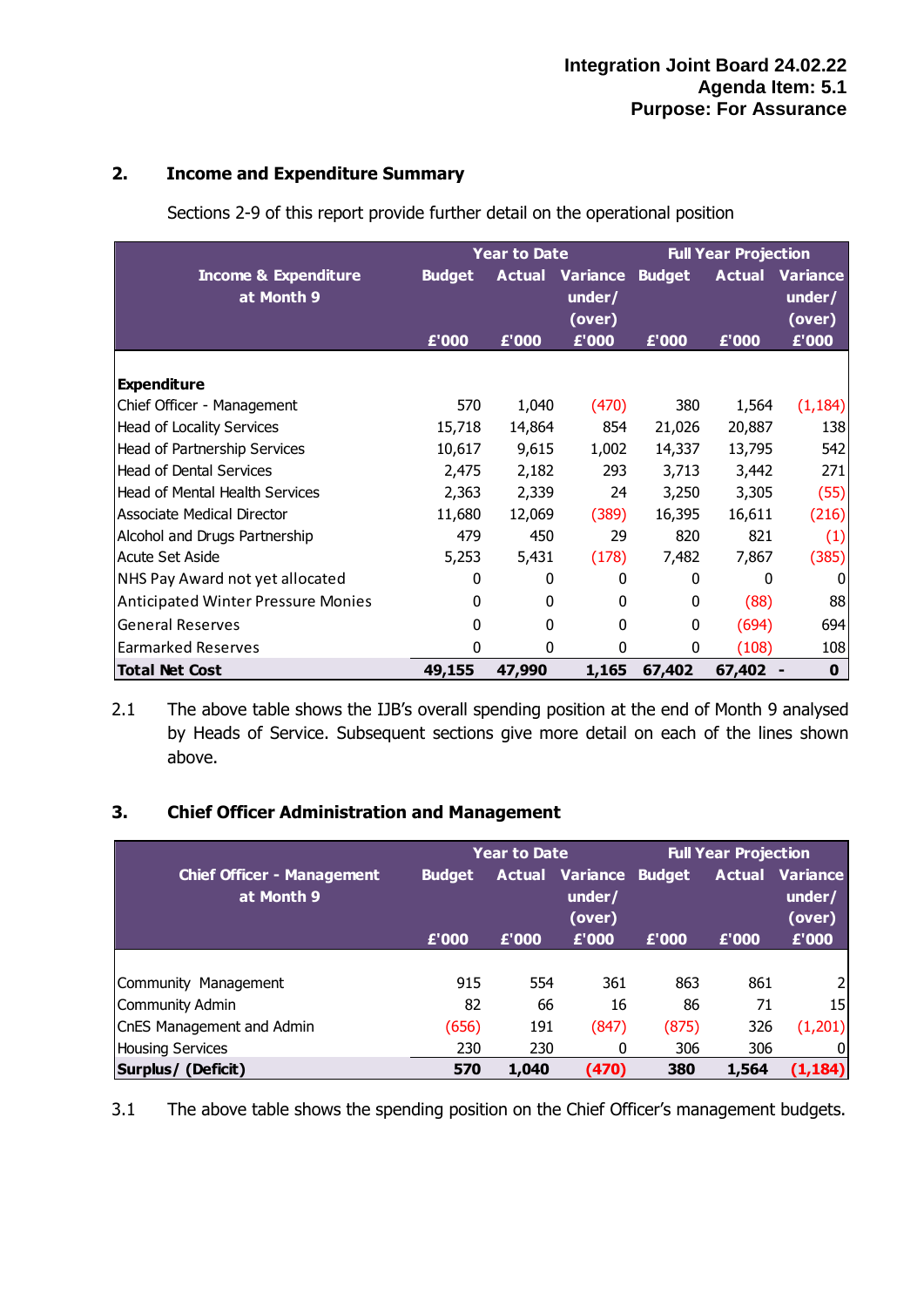# **2. Income and Expenditure Summary**

|                                               |               | <b>Year to Date</b> |                              | <b>Full Year Projection</b> |               |                                     |  |
|-----------------------------------------------|---------------|---------------------|------------------------------|-----------------------------|---------------|-------------------------------------|--|
| <b>Income &amp; Expenditure</b><br>at Month 9 | <b>Budget</b> | <b>Actual</b>       | Variance<br>under/<br>(over) | <b>Budget</b>               | <b>Actual</b> | <b>Variance</b><br>under/<br>(over) |  |
|                                               | £'000         | £'000               | £'000                        | £'000                       | £'000         | £'000                               |  |
| <b>Expenditure</b>                            |               |                     |                              |                             |               |                                     |  |
| Chief Officer - Management                    | 570           | 1,040               | (470)                        | 380                         | 1,564         | (1, 184)                            |  |
| <b>Head of Locality Services</b>              | 15,718        | 14,864              | 854                          | 21,026                      | 20,887        | 138                                 |  |
| Head of Partnership Services                  | 10,617        | 9,615               | 1,002                        | 14,337                      | 13,795        | 542                                 |  |
| <b>Head of Dental Services</b>                | 2,475         | 2,182               | 293                          | 3,713                       | 3,442         | 271                                 |  |
| Head of Mental Health Services                | 2,363         | 2,339               | 24                           | 3,250                       | 3,305         | (55)                                |  |
| Associate Medical Director                    | 11,680        | 12,069              | (389)                        | 16,395                      | 16,611        | (216)                               |  |
| Alcohol and Drugs Partnership                 | 479           | 450                 | 29                           | 820                         | 821           | (1)                                 |  |
| <b>Acute Set Aside</b>                        | 5,253         | 5,431               | (178)                        | 7,482                       | 7,867         | (385)                               |  |
| NHS Pay Award not yet allocated               | 0             | 0                   | 0                            | 0                           | 0             | 0                                   |  |
| <b>Anticipated Winter Pressure Monies</b>     | 0             | 0                   | 0                            | $\mathbf{0}$                | (88)          | 88                                  |  |
| <b>General Reserves</b>                       | $\mathbf{0}$  | 0                   | 0                            | 0                           | (694)         | 694                                 |  |
| <b>Earmarked Reserves</b>                     | $\mathbf{0}$  | 0                   | 0                            | 0                           | (108)         | 108                                 |  |
| <b>Total Net Cost</b>                         | 49,155        | 47,990              | 1,165                        | 67,402                      | 67,402        | $\mathbf 0$                         |  |

Sections 2-9 of this report provide further detail on the operational position

2.1 The above table shows the IJB's overall spending position at the end of Month 9 analysed by Heads of Service. Subsequent sections give more detail on each of the lines shown above.

## **3. Chief Officer Administration and Management**

|                                                 |               | <b>Year to Date</b>                               |       | <b>Full Year Projection</b> |       |                                            |  |
|-------------------------------------------------|---------------|---------------------------------------------------|-------|-----------------------------|-------|--------------------------------------------|--|
| <b>Chief Officer - Management</b><br>at Month 9 | <b>Budget</b> | <b>Actual Variance Budget</b><br>under/<br>(over) |       |                             |       | <b>Actual Variance</b><br>under/<br>(over) |  |
|                                                 | £'000         | £'000                                             | £'000 | £'000                       | £'000 | £'000                                      |  |
|                                                 |               |                                                   |       |                             |       |                                            |  |
| Community Management                            | 915           | 554                                               | 361   | 863                         | 861   | 21                                         |  |
| Community Admin                                 | 82            | 66                                                | 16    | 86                          | 71    | 15I                                        |  |
| CnES Management and Admin                       | (656)         | 191                                               | (847) | (875)                       | 326   | (1,201)                                    |  |
| <b>Housing Services</b>                         | 230           | 230                                               | 0     | 306                         | 306   | 01                                         |  |
| Surplus/ (Deficit)                              | 570           | 1,040                                             | (470) | 380                         | 1,564 | (1,184)                                    |  |

3.1 The above table shows the spending position on the Chief Officer's management budgets.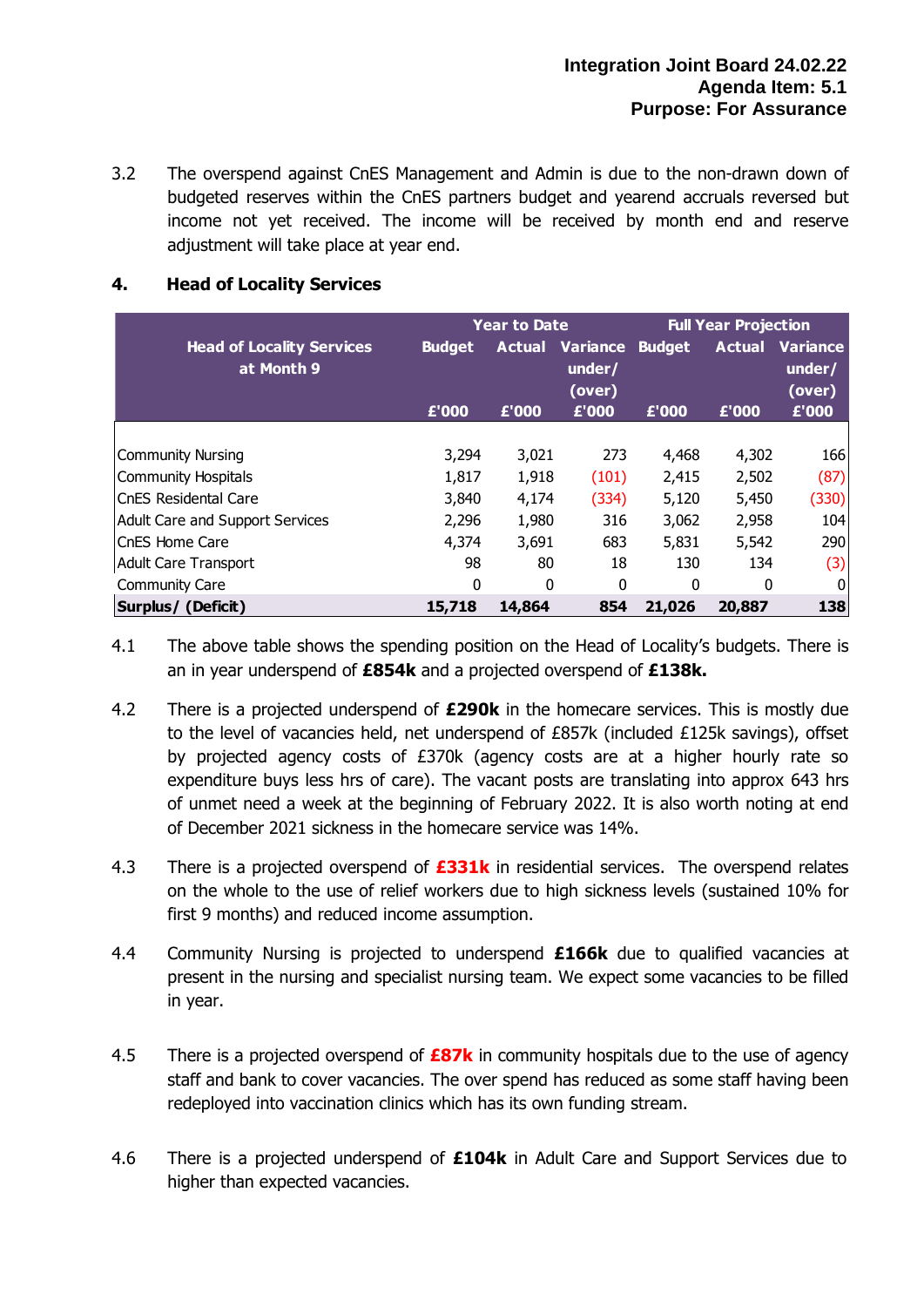3.2 The overspend against CnES Management and Admin is due to the non-drawn down of budgeted reserves within the CnES partners budget and yearend accruals reversed but income not yet received. The income will be received by month end and reserve adjustment will take place at year end.

|                                                |               | <b>Year to Date</b> |                                            | <b>Full Year Projection</b> |               |                                     |  |
|------------------------------------------------|---------------|---------------------|--------------------------------------------|-----------------------------|---------------|-------------------------------------|--|
| <b>Head of Locality Services</b><br>at Month 9 | <b>Budget</b> | Actual              | <b>Variance Budget</b><br>under/<br>(over) |                             | <b>Actual</b> | <b>Variance</b><br>under/<br>(over) |  |
|                                                | £'000         | £'000               | £'000                                      | £'000                       | £'000         | £'000                               |  |
| <b>Community Nursing</b>                       | 3,294         | 3,021               | 273                                        | 4,468                       | 4,302         | 166                                 |  |
| <b>Community Hospitals</b>                     | 1,817         | 1,918               | (101)                                      | 2,415                       | 2,502         | (87)                                |  |
| lCnES Residental Care                          | 3,840         | 4,174               | (334)                                      | 5,120                       | 5,450         | (330)                               |  |
| <b>Adult Care and Support Services</b>         | 2,296         | 1,980               | 316                                        | 3,062                       | 2,958         | 104                                 |  |
| CnES Home Care                                 | 4,374         | 3,691               | 683                                        | 5,831                       | 5,542         | 290                                 |  |
| Adult Care Transport                           | 98            | 80                  | 18                                         | 130                         | 134           | (3)                                 |  |
| <b>Community Care</b>                          | 0             | 0                   | $\mathbf{0}$                               | 0                           | $\Omega$      | $\mathbf 0$                         |  |
| Surplus/ (Deficit)                             | 15,718        | 14,864              | 854                                        | 21,026                      | 20,887        | 138                                 |  |

# **4. Head of Locality Services**

- 4.1 The above table shows the spending position on the Head of Locality's budgets. There is an in year underspend of **£854k** and a projected overspend of **£138k.**
- 4.2 There is a projected underspend of **£290k** in the homecare services. This is mostly due to the level of vacancies held, net underspend of £857k (included £125k savings), offset by projected agency costs of £370k (agency costs are at a higher hourly rate so expenditure buys less hrs of care). The vacant posts are translating into approx 643 hrs of unmet need a week at the beginning of February 2022. It is also worth noting at end of December 2021 sickness in the homecare service was 14%.
- 4.3 There is a projected overspend of **£331k** in residential services. The overspend relates on the whole to the use of relief workers due to high sickness levels (sustained 10% for first 9 months) and reduced income assumption.
- 4.4 Community Nursing is projected to underspend **£166k** due to qualified vacancies at present in the nursing and specialist nursing team. We expect some vacancies to be filled in year.
- 4.5 There is a projected overspend of **£87k** in community hospitals due to the use of agency staff and bank to cover vacancies. The over spend has reduced as some staff having been redeployed into vaccination clinics which has its own funding stream.
- 4.6 There is a projected underspend of **£104k** in Adult Care and Support Services due to higher than expected vacancies.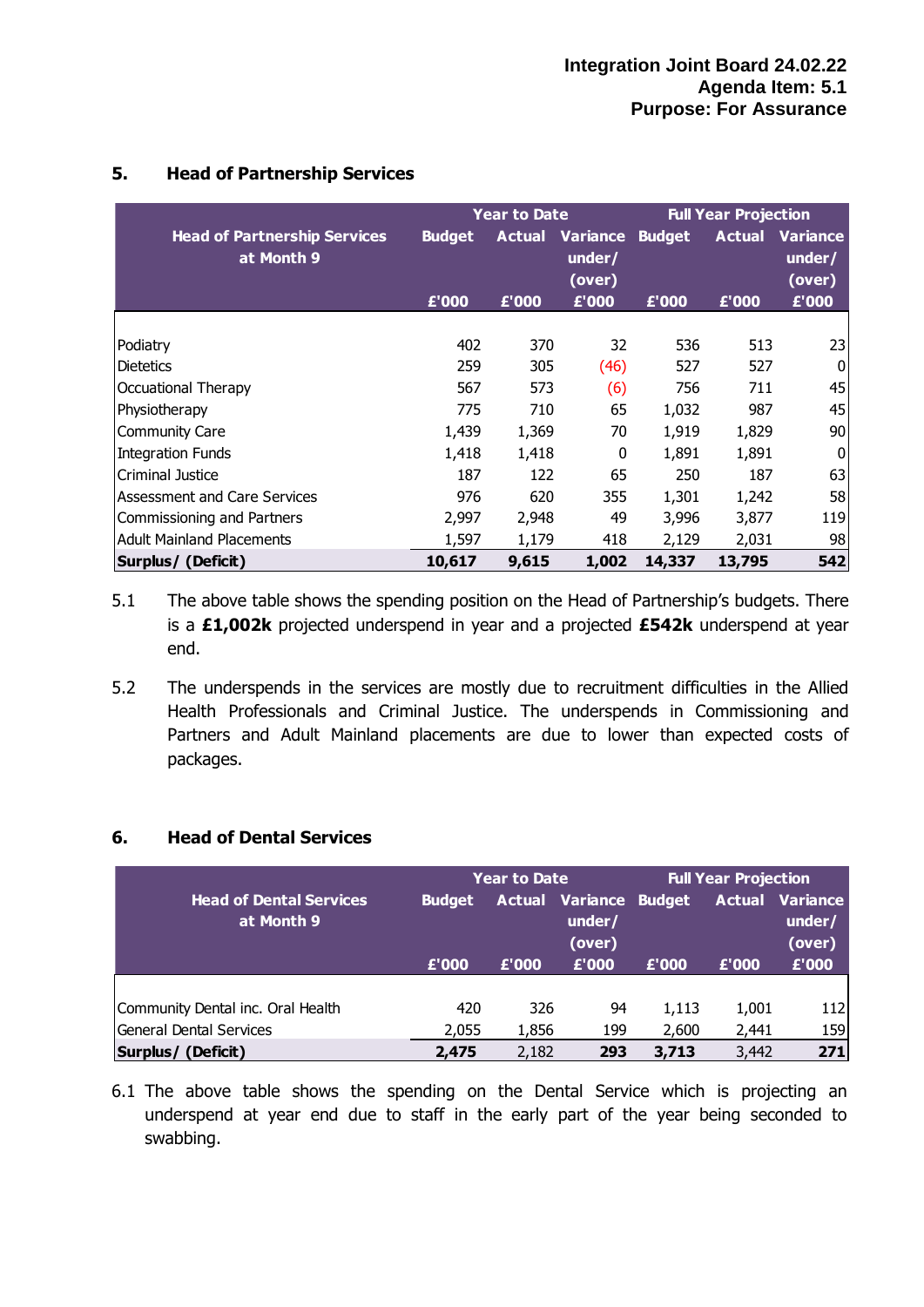|                                                   |               | <b>Year to Date</b> |                              | <b>Full Year Projection</b> |               |                              |  |
|---------------------------------------------------|---------------|---------------------|------------------------------|-----------------------------|---------------|------------------------------|--|
| <b>Head of Partnership Services</b><br>at Month 9 | <b>Budget</b> | Actual              | Variance<br>under/<br>(over) | <b>Budget</b>               | <b>Actual</b> | Variance<br>under/<br>(over) |  |
|                                                   | £'000         | £'000               | £'000                        | £'000                       | £'000         | £'000                        |  |
|                                                   |               |                     |                              |                             |               |                              |  |
| Podiatry                                          | 402           | 370                 | 32                           | 536                         | 513           | 23                           |  |
| <b>Dietetics</b>                                  | 259           | 305                 | (46)                         | 527                         | 527           | 0                            |  |
| Occuational Therapy                               | 567           | 573                 | (6)                          | 756                         | 711           | 45                           |  |
| Physiotherapy                                     | 775           | 710                 | 65                           | 1,032                       | 987           | 45                           |  |
| <b>Community Care</b>                             | 1,439         | 1,369               | 70                           | 1,919                       | 1,829         | 90                           |  |
| <b>Integration Funds</b>                          | 1,418         | 1,418               | 0                            | 1,891                       | 1,891         | 0                            |  |
| Criminal Justice                                  | 187           | 122                 | 65                           | 250                         | 187           | 63                           |  |
| <b>Assessment and Care Services</b>               | 976           | 620                 | 355                          | 1,301                       | 1,242         | 58                           |  |
| Commissioning and Partners                        | 2,997         | 2,948               | 49                           | 3,996                       | 3,877         | 119                          |  |
| <b>Adult Mainland Placements</b>                  | 1,597         | 1,179               | 418                          | 2,129                       | 2,031         | 98                           |  |
| Surplus/ (Deficit)                                | 10,617        | 9,615               | 1,002                        | 14,337                      | 13,795        | 542                          |  |

### **5. Head of Partnership Services**

- 5.1 The above table shows the spending position on the Head of Partnership's budgets. There is a **£1,002k** projected underspend in year and a projected **£542k** underspend at year end.
- 5.2 The underspends in the services are mostly due to recruitment difficulties in the Allied Health Professionals and Criminal Justice. The underspends in Commissioning and Partners and Adult Mainland placements are due to lower than expected costs of packages.

#### **6. Head of Dental Services**

|                                              |               | <b>Year to Date</b> |                                                   | <b>Full Year Projection</b> |       |                                            |  |
|----------------------------------------------|---------------|---------------------|---------------------------------------------------|-----------------------------|-------|--------------------------------------------|--|
| <b>Head of Dental Services</b><br>at Month 9 | <b>Budget</b> |                     | <b>Actual Variance Budget</b><br>under/<br>(over) |                             |       | <b>Actual Variance</b><br>under/<br>(over) |  |
|                                              | £'000         | £'000               | £'000                                             | £'000                       | £'000 | £'000                                      |  |
|                                              |               |                     |                                                   |                             |       |                                            |  |
| Community Dental inc. Oral Health            | 420           | 326                 | 94                                                | 1,113                       | 1,001 | 112                                        |  |
| General Dental Services                      | 2,055         | 1,856               | 199                                               | 2,600                       | 2,441 | 159                                        |  |
| Surplus/ (Deficit)                           | 2,475         | 2,182               | 293                                               | 3,713                       | 3,442 | 271                                        |  |

6.1 The above table shows the spending on the Dental Service which is projecting an underspend at year end due to staff in the early part of the year being seconded to swabbing.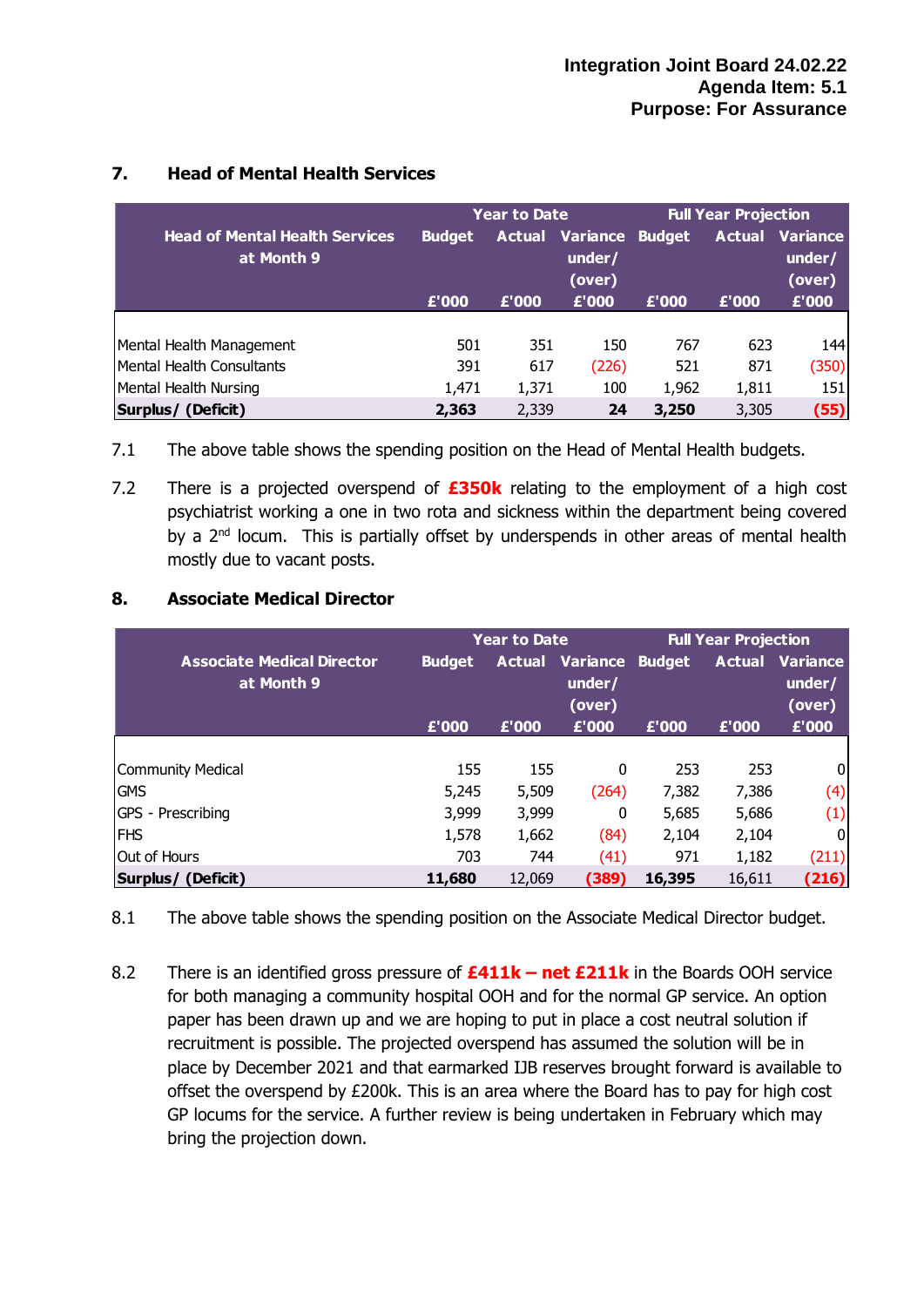|                                                     |               | Year to Date                                      |       | <b>Full Year Projection</b> |       |                                            |  |
|-----------------------------------------------------|---------------|---------------------------------------------------|-------|-----------------------------|-------|--------------------------------------------|--|
| <b>Head of Mental Health Services</b><br>at Month 9 | <b>Budget</b> | <b>Actual Variance Budget</b><br>under/<br>(over) |       |                             |       | <b>Actual Variance</b><br>under/<br>(over) |  |
|                                                     | £'000         | £'000                                             | £'000 | £'000                       | £'000 | £'000                                      |  |
|                                                     |               |                                                   |       |                             |       |                                            |  |
| Mental Health Management                            | 501           | 351                                               | 150   | 767                         | 623   | 144                                        |  |
| Mental Health Consultants                           | 391           | 617                                               | (226) | 521                         | 871   | (350)                                      |  |
| Mental Health Nursing                               | 1,471         | 1,371                                             | 100   | 1,962                       | 1,811 | 151                                        |  |
| Surplus/ (Deficit)                                  | 2,363         | 2,339                                             | 24    | 3,250                       | 3,305 | (55)                                       |  |

# **7. Head of Mental Health Services**

- 7.1 The above table shows the spending position on the Head of Mental Health budgets.
- 7.2 There is a projected overspend of **£350k** relating to the employment of a high cost psychiatrist working a one in two rota and sickness within the department being covered by a 2<sup>nd</sup> locum. This is partially offset by underspends in other areas of mental health mostly due to vacant posts.

## **8. Associate Medical Director**

|                                   |               | Year to Date |                        | <b>Full Year Projection</b> |        |                        |  |
|-----------------------------------|---------------|--------------|------------------------|-----------------------------|--------|------------------------|--|
| <b>Associate Medical Director</b> | <b>Budget</b> |              | <b>Actual Variance</b> | <b>Budget</b>               |        | <b>Actual Variance</b> |  |
| at Month 9                        |               |              | under/                 |                             |        | under/                 |  |
|                                   |               |              | (over)                 |                             |        | (over)                 |  |
|                                   | £'000         | £'000        | £'000                  | £'000                       | £'000  | £'000                  |  |
|                                   |               |              |                        |                             |        |                        |  |
| <b>Community Medical</b>          | 155           | 155          | 0                      | 253                         | 253    | 0                      |  |
| <b>GMS</b>                        | 5,245         | 5,509        | (264)                  | 7,382                       | 7,386  | (4)                    |  |
| GPS - Prescribing                 | 3,999         | 3,999        | 0                      | 5,685                       | 5,686  | (1)                    |  |
| <b>FHS</b>                        | 1,578         | 1,662        | (84)                   | 2,104                       | 2,104  | $\overline{0}$         |  |
| Out of Hours                      | 703           | 744          | (41)                   | 971                         | 1,182  | (211)                  |  |
| Surplus/ (Deficit)                | 11,680        | 12,069       | (389)                  | 16,395                      | 16,611 | (216)                  |  |

8.1 The above table shows the spending position on the Associate Medical Director budget.

8.2 There is an identified gross pressure of **£411k – net £211k** in the Boards OOH service for both managing a community hospital OOH and for the normal GP service. An option paper has been drawn up and we are hoping to put in place a cost neutral solution if recruitment is possible. The projected overspend has assumed the solution will be in place by December 2021 and that earmarked IJB reserves brought forward is available to offset the overspend by £200k. This is an area where the Board has to pay for high cost GP locums for the service. A further review is being undertaken in February which may bring the projection down.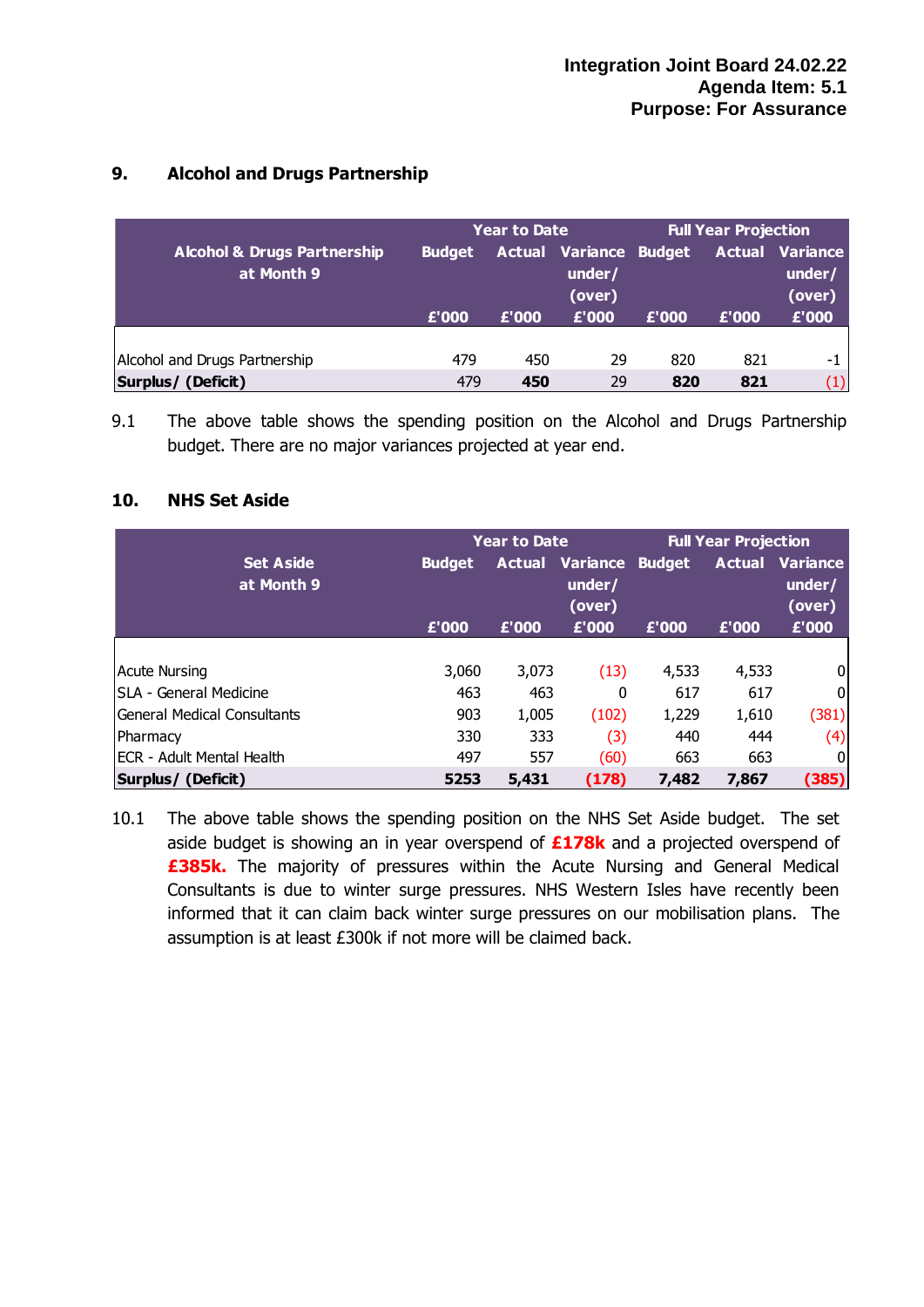# **9. Alcohol and Drugs Partnership**

| <b>Year to Date</b>                                  |                                                                    |       |       | <b>Full Year Projection</b> |                                            |       |  |  |
|------------------------------------------------------|--------------------------------------------------------------------|-------|-------|-----------------------------|--------------------------------------------|-------|--|--|
| <b>Alcohol &amp; Drugs Partnership</b><br>at Month 9 | <b>Actual Variance Budget</b><br><b>Budget</b><br>under/<br>(over) |       |       |                             | <b>Actual Variance</b><br>under/<br>(over) |       |  |  |
|                                                      | £'000                                                              | £'000 | £'000 | £'000                       | £'000                                      | E'000 |  |  |
|                                                      |                                                                    |       |       |                             |                                            |       |  |  |
| Alcohol and Drugs Partnership                        | 479                                                                | 450   | 29    | 820                         | 821                                        | -1    |  |  |
| Surplus/ (Deficit)                                   | 479                                                                | 450   | 29    | 820                         | 821                                        | (1)   |  |  |

9.1 The above table shows the spending position on the Alcohol and Drugs Partnership budget. There are no major variances projected at year end.

#### **10. NHS Set Aside**

|                                   |               | <b>Year to Date</b>                               |       | <b>Full Year Projection</b> |       |                                            |  |
|-----------------------------------|---------------|---------------------------------------------------|-------|-----------------------------|-------|--------------------------------------------|--|
| <b>Set Aside</b><br>at Month 9    | <b>Budget</b> | <b>Actual Variance Budget</b><br>under/<br>(over) |       |                             |       | <b>Actual Variance</b><br>under/<br>(over) |  |
|                                   | £'000         | £'000                                             | £'000 | £'000                       | £'000 | £'000                                      |  |
|                                   |               |                                                   |       |                             |       |                                            |  |
| <b>Acute Nursing</b>              | 3,060         | 3,073                                             | (13)  | 4,533                       | 4,533 | 0                                          |  |
| SLA - General Medicine            | 463           | 463                                               | 0     | 617                         | 617   | $\boldsymbol{0}$                           |  |
| General Medical Consultants       | 903           | 1,005                                             | (102) | 1,229                       | 1,610 | (381)                                      |  |
| Pharmacy                          | 330           | 333                                               | (3)   | 440                         | 444   | (4)                                        |  |
| <b>IECR - Adult Mental Health</b> | 497           | 557                                               | (60)  | 663                         | 663   | 0                                          |  |
| Surplus/ (Deficit)                | 5253          | 5,431                                             | (178) | 7,482                       | 7,867 | (385)                                      |  |

10.1 The above table shows the spending position on the NHS Set Aside budget. The set aside budget is showing an in year overspend of **£178k** and a projected overspend of **£385k.** The majority of pressures within the Acute Nursing and General Medical Consultants is due to winter surge pressures. NHS Western Isles have recently been informed that it can claim back winter surge pressures on our mobilisation plans. The assumption is at least £300k if not more will be claimed back.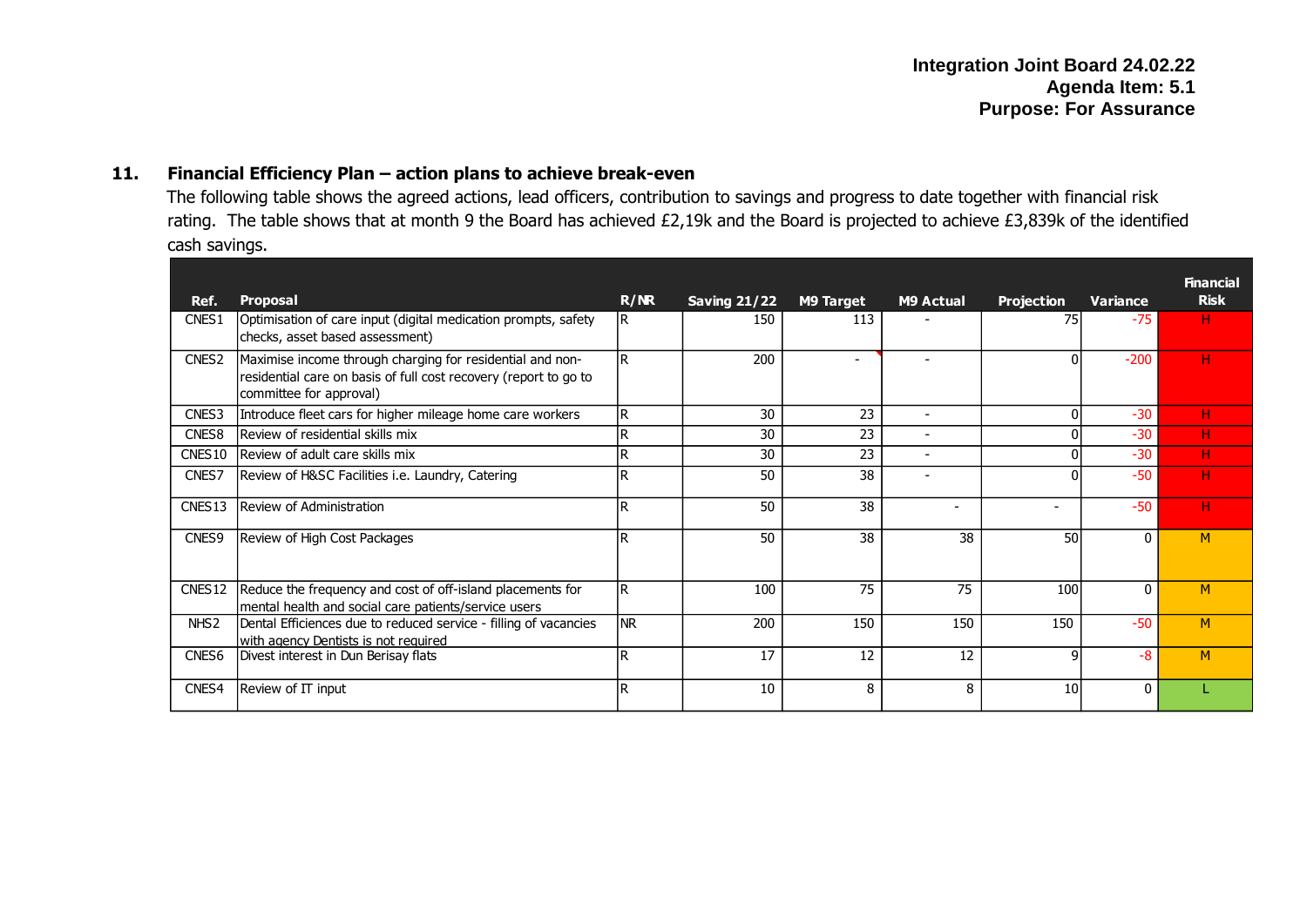#### **11. Financial Efficiency Plan – action plans to achieve break-even**

The following table shows the agreed actions, lead officers, contribution to savings and progress to date together with financial risk rating. The table shows that at month 9 the Board has achieved £2,19k and the Board is projected to achieve £3,839k of the identified cash savings.

| Ref.               | Proposal                                                                                                                                                 | R/MR       | <b>Saving 21/22</b> | <b>M9 Target</b>         | <b>M9 Actual</b>         | <b>Projection</b> | Variance     | <b>Financial</b><br><b>Risk</b> |
|--------------------|----------------------------------------------------------------------------------------------------------------------------------------------------------|------------|---------------------|--------------------------|--------------------------|-------------------|--------------|---------------------------------|
| CNES1              | Optimisation of care input (digital medication prompts, safety<br>checks, asset based assessment)                                                        | IR.        | 150                 | 113                      |                          | 75                | $-75$        | н                               |
| CNES <sub>2</sub>  | Maximise income through charging for residential and non-<br>residential care on basis of full cost recovery (report to go to<br>committee for approval) | lR.        | 200                 | $\overline{\phantom{a}}$ |                          | 0                 | $-200$       | н                               |
| CNES3              | Introduce fleet cars for higher mileage home care workers                                                                                                | IR.        | 30                  | 23                       | $\overline{\phantom{0}}$ | $\Omega$          | $-30$        | н                               |
| CNES <sub>8</sub>  | lReview of residential skills mix                                                                                                                        | D          | 30                  | 23                       | $\overline{\phantom{0}}$ |                   | $-30$        | н                               |
| CNES10             | Review of adult care skills mix                                                                                                                          | lR.        | 30                  | 23                       | $\blacksquare$           | $\Omega$          | $-30$        | н                               |
| CNES7              | Review of H&SC Facilities i.e. Laundry, Catering                                                                                                         |            | 50                  | 38                       |                          | O                 | $-50$        | н                               |
| CNES <sub>13</sub> | Review of Administration                                                                                                                                 | lR.        | 50                  | 38                       | $\overline{\phantom{0}}$ | ۳                 | $-50$        | н                               |
| CNES9              | Review of High Cost Packages                                                                                                                             | R          | 50                  | 38                       | 38                       | 50                | 0            | M                               |
| CNES <sub>12</sub> | Reduce the frequency and cost of off-island placements for<br>mental health and social care patients/service users                                       | lR.        | 100                 | 75                       | 75                       | 100               | $\mathbf{0}$ | M                               |
| NHS <sub>2</sub>   | Dental Efficiences due to reduced service - filling of vacancies<br>lwith agency Dentists is not reguired                                                | <b>INR</b> | 200                 | 150                      | 150                      | 150               | $-50$        | M                               |
| CNES <sub>6</sub>  | Divest interest in Dun Berisay flats                                                                                                                     | lR.        | 17                  | 12                       | 12                       | q                 | $-8$         | M                               |
| CNES4              | Review of IT input                                                                                                                                       | l R        | 10                  | 8                        | 8                        | 10                | 0            |                                 |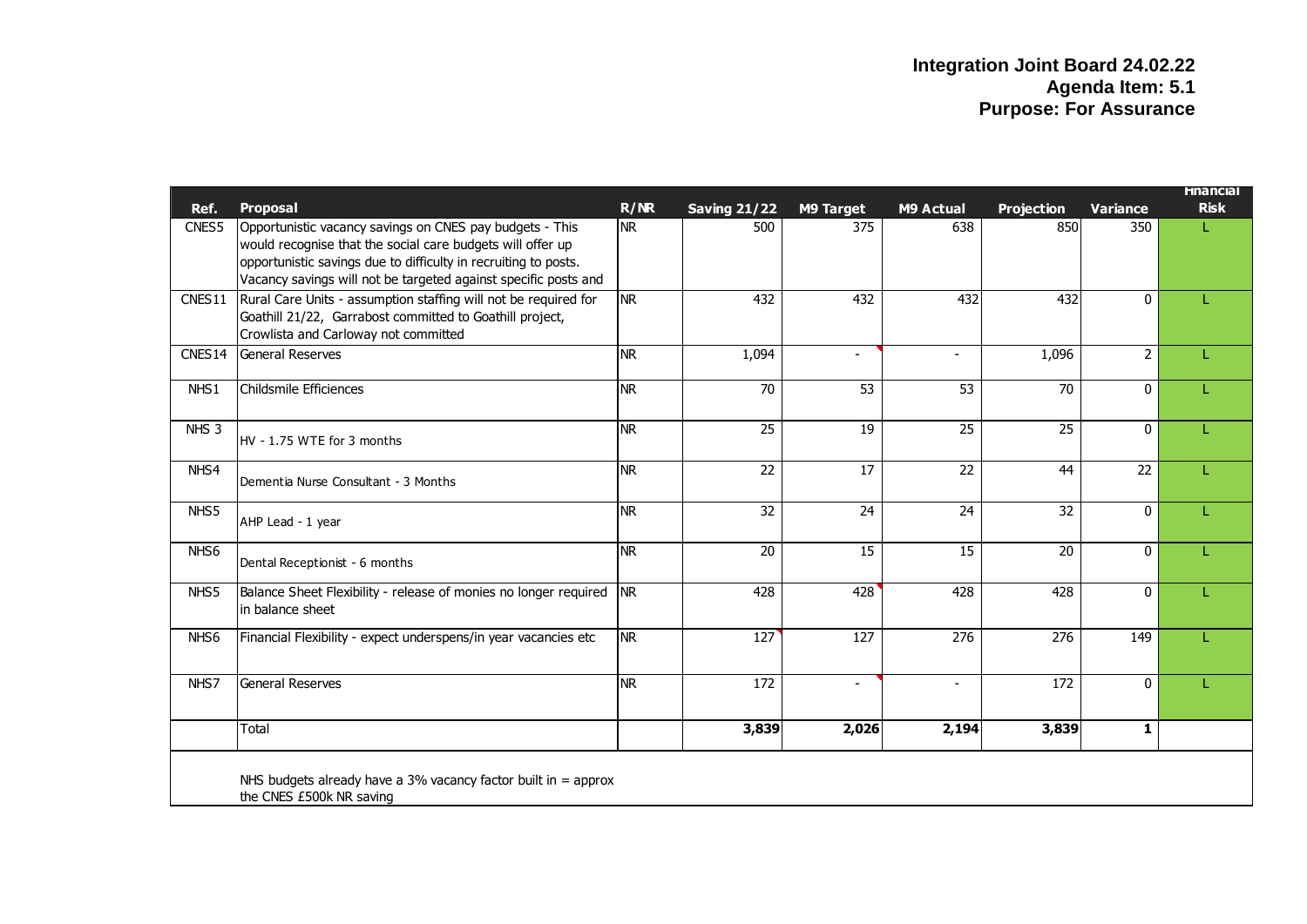|                    |                                                                  |            |                     |                          |                          |                   |                 | <b>Hnancial</b> |
|--------------------|------------------------------------------------------------------|------------|---------------------|--------------------------|--------------------------|-------------------|-----------------|-----------------|
| Ref.               | Proposal                                                         | R/MR       | <b>Saving 21/22</b> | <b>M9 Target</b>         | M9 Actual                | <b>Projection</b> | <b>Variance</b> | <b>Risk</b>     |
| CNES5              | Opportunistic vacancy savings on CNES pay budgets - This         | <b>NR</b>  | 500                 | 375                      | 638                      | 850               | 350             |                 |
|                    | would recognise that the social care budgets will offer up       |            |                     |                          |                          |                   |                 |                 |
|                    | opportunistic savings due to difficulty in recruiting to posts.  |            |                     |                          |                          |                   |                 |                 |
|                    | Vacancy savings will not be targeted against specific posts and  |            |                     |                          |                          |                   |                 |                 |
| CNES11             | Rural Care Units - assumption staffing will not be required for  | <b>NR</b>  | 432                 | 432                      | 432                      | 432               | $\mathbf{0}$    |                 |
|                    | Goathill 21/22, Garrabost committed to Goathill project,         |            |                     |                          |                          |                   |                 |                 |
|                    | Crowlista and Carloway not committed                             |            |                     |                          |                          |                   |                 |                 |
| CNES <sub>14</sub> | General Reserves                                                 | <b>NR</b>  | 1,094               | $\sim$                   | $\overline{\phantom{0}}$ | 1,096             | 2               |                 |
| NHS1               | Childsmile Efficiences                                           | <b>NR</b>  | 70                  | 53                       | 53                       | 70                | $\mathbf{0}$    |                 |
|                    |                                                                  |            |                     |                          |                          |                   |                 |                 |
| NHS <sub>3</sub>   | HV - 1.75 WTE for 3 months                                       | <b>NR</b>  | $\overline{25}$     | 19                       | 25                       | 25                | 0               |                 |
|                    |                                                                  |            |                     |                          |                          |                   |                 |                 |
| NHS4               |                                                                  | <b>NR</b>  | $\overline{22}$     | 17                       | 22                       | 44                | 22              |                 |
|                    | Dementia Nurse Consultant - 3 Months                             |            |                     |                          |                          |                   |                 |                 |
| NHS5               |                                                                  | <b>NR</b>  | $\overline{32}$     | 24                       | 24                       | $\overline{32}$   | $\mathbf{0}$    |                 |
|                    | AHP Lead - 1 year                                                |            |                     |                          |                          |                   |                 |                 |
| NHS <sub>6</sub>   |                                                                  | <b>NR</b>  | $\overline{20}$     | $\overline{15}$          | $\overline{15}$          | $\overline{20}$   | 0               |                 |
|                    | Dental Receptionist - 6 months                                   |            |                     |                          |                          |                   |                 |                 |
| NHS5               | Balance Sheet Flexibility - release of monies no longer required | <b>INR</b> | 428                 | 428                      | 428                      | 428               | $\Omega$        |                 |
|                    | in balance sheet                                                 |            |                     |                          |                          |                   |                 |                 |
| NHS <sub>6</sub>   | Financial Flexibility - expect underspens/in year vacancies etc  | <b>NR</b>  | 127                 | 127                      | 276                      | 276               | 149             |                 |
|                    |                                                                  |            |                     |                          |                          |                   |                 |                 |
|                    |                                                                  |            |                     |                          |                          |                   |                 |                 |
| NHS7               | <b>General Reserves</b>                                          | <b>NR</b>  | $\overline{172}$    | $\overline{\phantom{a}}$ | $\overline{\phantom{a}}$ | 172               | $\mathbf{0}$    |                 |
|                    |                                                                  |            |                     |                          |                          |                   |                 |                 |
|                    | Total                                                            |            | 3,839               | 2,026                    | 2,194                    | 3,839             | 1               |                 |
|                    |                                                                  |            |                     |                          |                          |                   |                 |                 |
|                    | NHS budgets already have a 3% vacancy factor built in $=$ approx |            |                     |                          |                          |                   |                 |                 |
|                    | the CNES £500k NR saving                                         |            |                     |                          |                          |                   |                 |                 |
|                    |                                                                  |            |                     |                          |                          |                   |                 |                 |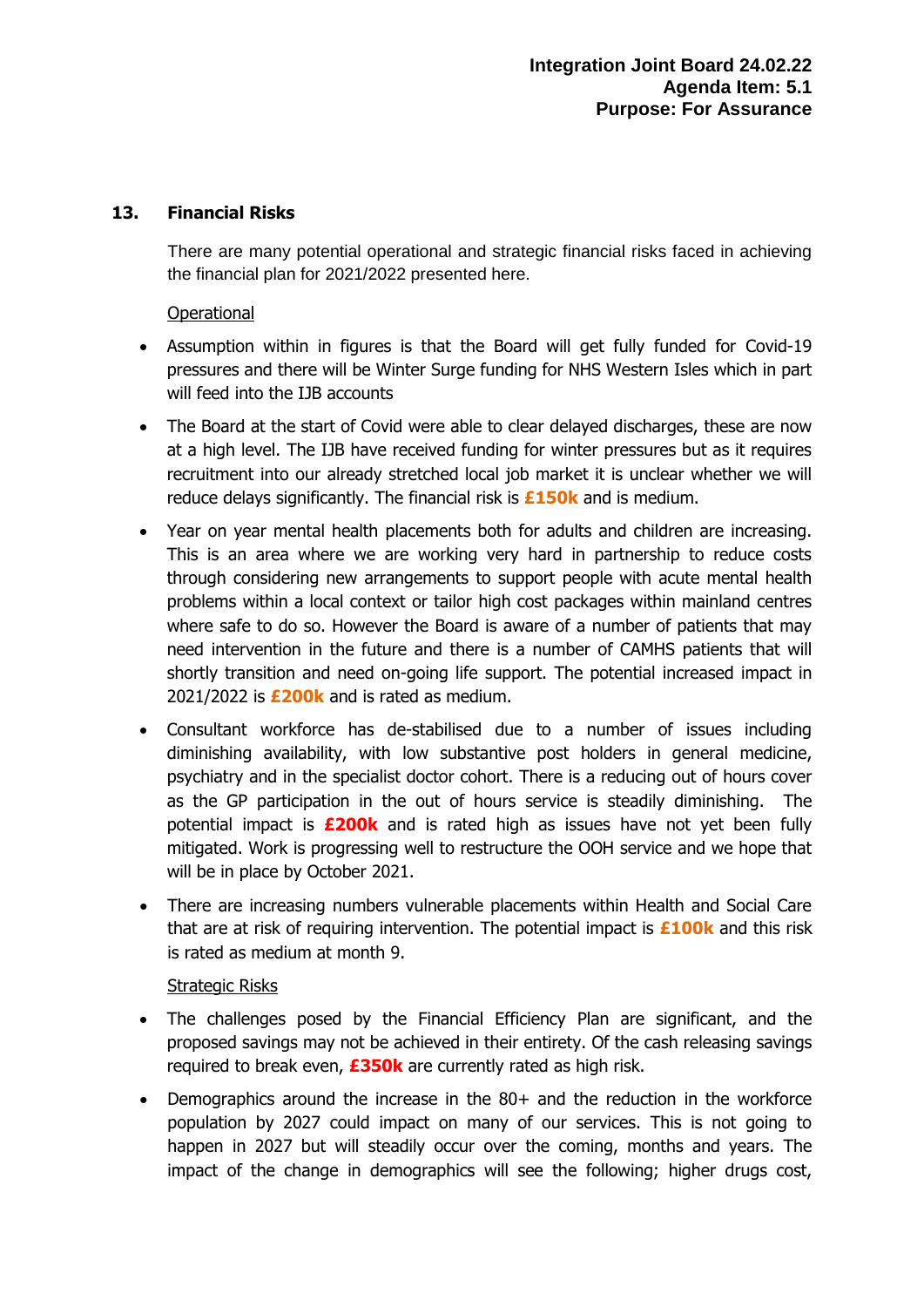#### **13. Financial Risks**

There are many potential operational and strategic financial risks faced in achieving the financial plan for 2021/2022 presented here.

#### **Operational**

- Assumption within in figures is that the Board will get fully funded for Covid-19 pressures and there will be Winter Surge funding for NHS Western Isles which in part will feed into the IJB accounts
- The Board at the start of Covid were able to clear delayed discharges, these are now at a high level. The IJB have received funding for winter pressures but as it requires recruitment into our already stretched local job market it is unclear whether we will reduce delays significantly. The financial risk is **£150k** and is medium.
- Year on year mental health placements both for adults and children are increasing. This is an area where we are working very hard in partnership to reduce costs through considering new arrangements to support people with acute mental health problems within a local context or tailor high cost packages within mainland centres where safe to do so. However the Board is aware of a number of patients that may need intervention in the future and there is a number of CAMHS patients that will shortly transition and need on-going life support. The potential increased impact in 2021/2022 is **£200k** and is rated as medium.
- Consultant workforce has de-stabilised due to a number of issues including diminishing availability, with low substantive post holders in general medicine, psychiatry and in the specialist doctor cohort. There is a reducing out of hours cover as the GP participation in the out of hours service is steadily diminishing. The potential impact is **£200k** and is rated high as issues have not yet been fully mitigated. Work is progressing well to restructure the OOH service and we hope that will be in place by October 2021.
- There are increasing numbers vulnerable placements within Health and Social Care that are at risk of requiring intervention. The potential impact is **£100k** and this risk is rated as medium at month 9.

#### Strategic Risks

- The challenges posed by the Financial Efficiency Plan are significant, and the proposed savings may not be achieved in their entirety. Of the cash releasing savings required to break even, **£350k** are currently rated as high risk.
- Demographics around the increase in the 80+ and the reduction in the workforce population by 2027 could impact on many of our services. This is not going to happen in 2027 but will steadily occur over the coming, months and years. The impact of the change in demographics will see the following; higher drugs cost,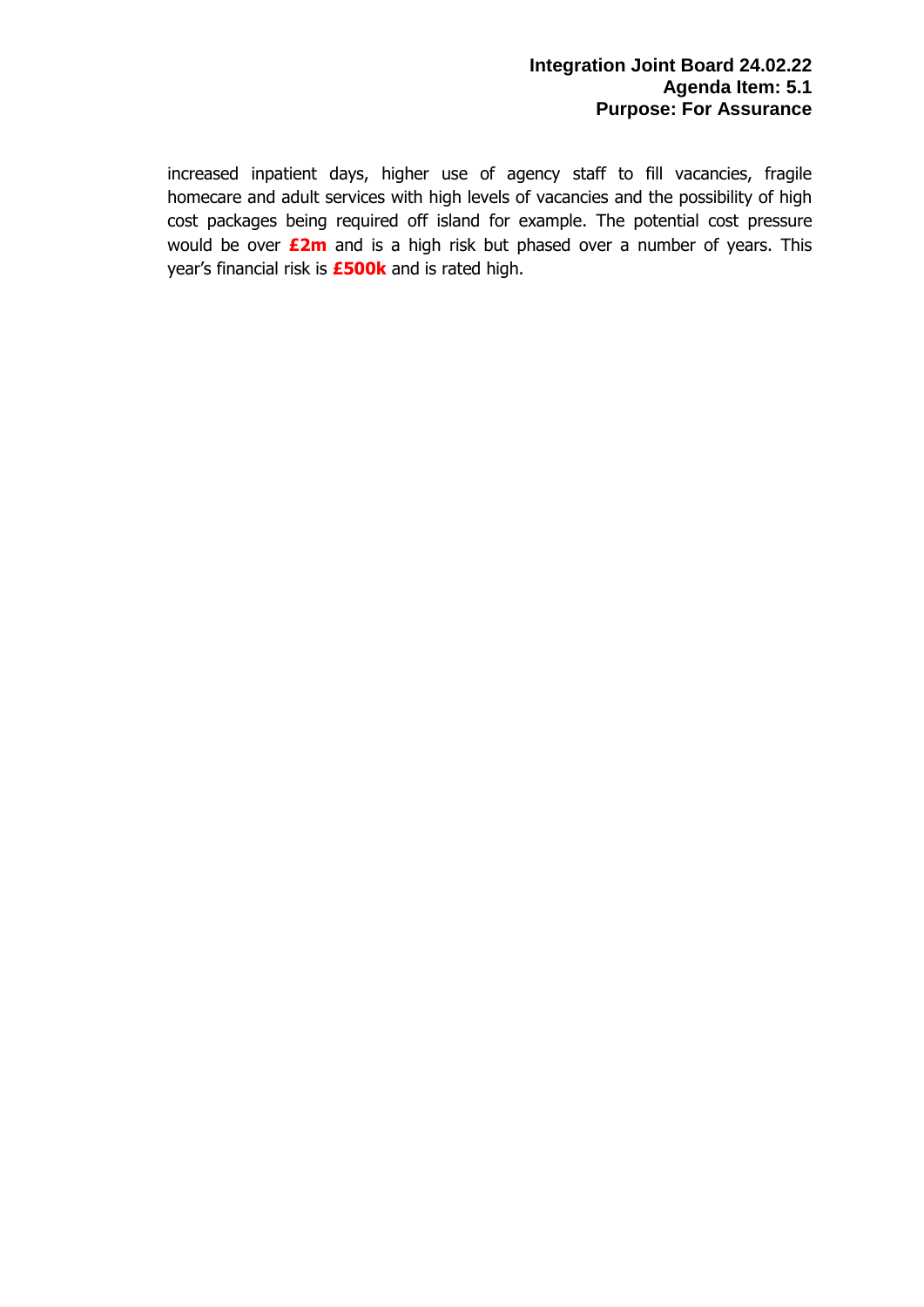increased inpatient days, higher use of agency staff to fill vacancies, fragile homecare and adult services with high levels of vacancies and the possibility of high cost packages being required off island for example. The potential cost pressure would be over **£2m** and is a high risk but phased over a number of years. This year's financial risk is **£500k** and is rated high.